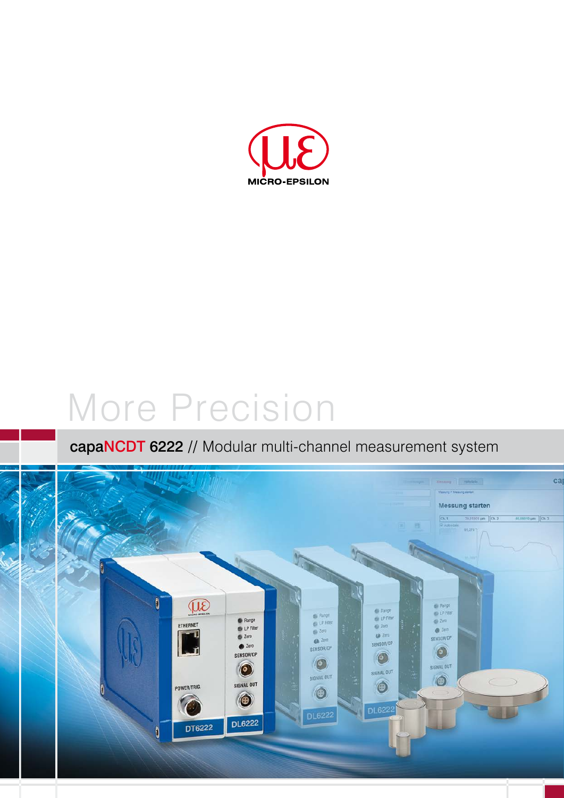

# More Precision

## capaNCDT 6222 // Modular multi-channel measurement system

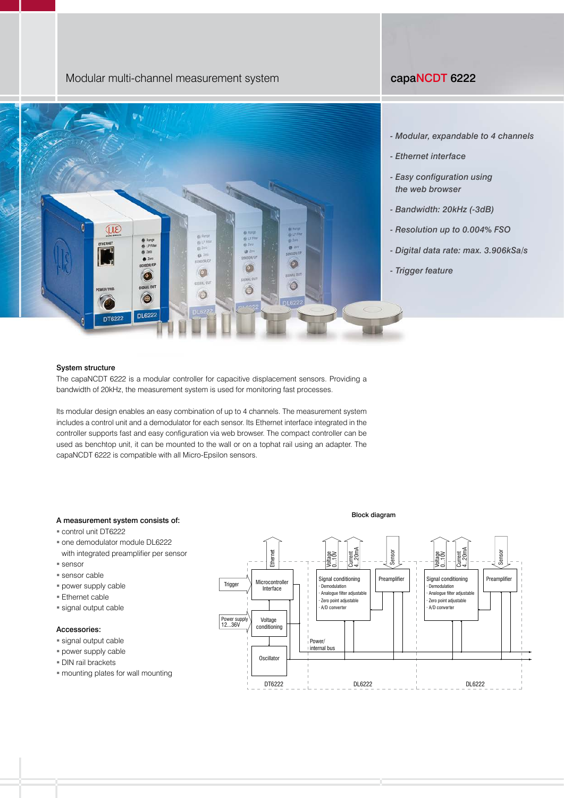### Modular multi-channel measurement system capaNCDT 6222



#### *- Modular, expandable to 4 channels*

- *Ethernet interface*
- *Easy configuration using the web browser*
- *Bandwidth: 20kHz (-3dB)*
- *Resolution up to 0.004% FSO*
- *Digital data rate: max. 3.906kSa/s*
- *Trigger feature*

#### System structure

The capaNCDT 6222 is a modular controller for capacitive displacement sensors. Providing a bandwidth of 20kHz, the measurement system is used for monitoring fast processes.

Its modular design enables an easy combination of up to 4 channels. The measurement system includes a control unit and a demodulator for each sensor. Its Ethernet interface integrated in the controller supports fast and easy configuration via web browser. The compact controller can be used as benchtop unit, it can be mounted to the wall or on a tophat rail using an adapter. The capaNCDT 6222 is compatible with all Micro-Epsilon sensors.

#### A measurement system consists of:

- control unit DT6222
- one demodulator module DL6222 with integrated preamplifier per sensor
- sensor
- **sensor cable**
- power supply cable
- Ethernet cable
- signal output cable

#### Accessories:

- signal output cable
- power supply cable
- DIN rail brackets
- mounting plates for wall mounting

DT6222 DL6222 DL6222 **Oscillator** Power/ internal bus **Microcontroller** Interface Trigger Ethernet Voltage 0...10V Current 4...20mA Voltage 0...10V Current 4...20mA Sensor Sensor Voltage conditioning Power supply 12...36V Signal conditioning | Preamplifier · Demodulation · Analogue filter adjustable · Zero point adjustable A/D converter Signal conditioning | Preamplifier **Demodulation** · Analogue filter adjustable Zero point adjustable A/D converter

#### Block diagram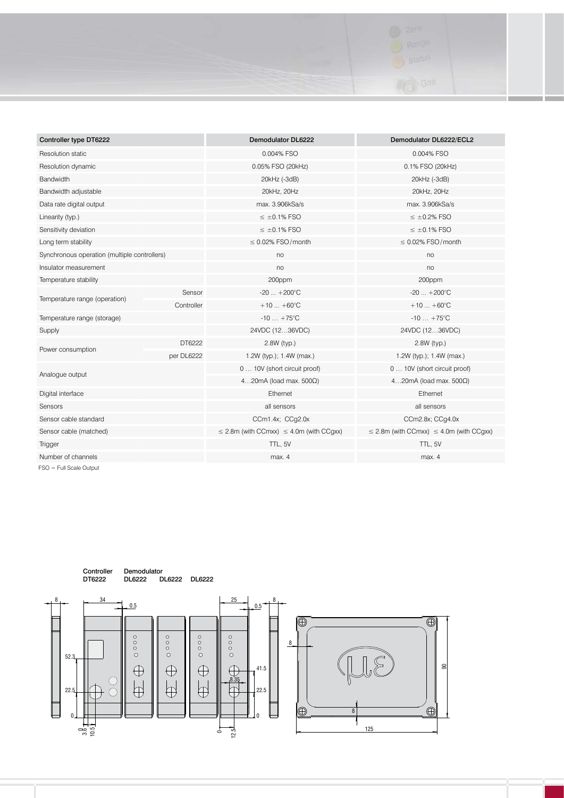

| Controller type DT6222                       |            | <b>Demodulator DL6222</b>                                                                              | Demodulator DL6222/ECL2         |  |
|----------------------------------------------|------------|--------------------------------------------------------------------------------------------------------|---------------------------------|--|
| Resolution static                            |            | 0.004% FSO                                                                                             | 0.004% FSO                      |  |
| Resolution dynamic                           |            | 0.05% FSO (20kHz)<br>0.1% FSO (20kHz)                                                                  |                                 |  |
| Bandwidth                                    |            | 20kHz (-3dB)                                                                                           | 20kHz (-3dB)                    |  |
| Bandwidth adjustable                         |            | 20kHz, 20Hz                                                                                            | 20kHz, 20Hz                     |  |
| Data rate digital output                     |            | max. 3.906kSa/s                                                                                        | max. 3.906kSa/s                 |  |
| Linearity (typ.)                             |            | $\leq$ ±0.1% FSO                                                                                       | $\leq$ ±0.2% FSO                |  |
| Sensitivity deviation                        |            | $\leq$ ±0.1% FSO                                                                                       | $\leq \pm 0.1\%$ FSO            |  |
| Long term stability                          |            | $\leq$ 0.02% FSO/month                                                                                 | $\leq$ 0.02% FSO/month          |  |
| Synchronous operation (multiple controllers) |            | no                                                                                                     | no                              |  |
| Insulator measurement                        |            | no                                                                                                     | no                              |  |
| Temperature stability                        |            | 200ppm                                                                                                 | 200ppm                          |  |
| Temperature range (operation)                | Sensor     | $-20+200^{\circ}C$                                                                                     | $-20$ $+200^{\circ}$ C          |  |
|                                              | Controller | $+10+60^{\circ}C$                                                                                      | $+10+60^{\circ}C$               |  |
| Temperature range (storage)                  |            | $-10 + 75^{\circ}C$                                                                                    | $-10 + 75^{\circ}C$             |  |
| Supply                                       |            | 24VDC (1236VDC)                                                                                        | 24VDC (1236VDC)                 |  |
| Power consumption                            | DT6222     | 2.8W (typ.)                                                                                            | 2.8W (typ.)                     |  |
|                                              | per DL6222 | 1.2W (typ.); 1.4W (max.)<br>1.2W (typ.); 1.4W (max.)                                                   |                                 |  |
| Analogue output                              |            | 0  10V (short circuit proof)                                                                           | 0  10V (short circuit proof)    |  |
|                                              |            | 420mA (load max. 500 $\Omega$ )                                                                        | 420mA (load max. 500 $\Omega$ ) |  |
| Digital interface                            |            | Ethernet<br>Ethernet                                                                                   |                                 |  |
| Sensors                                      |            | all sensors<br>all sensors                                                                             |                                 |  |
| Sensor cable standard                        |            | CCm1.4x; CCg2.0x<br>CCm2.8x; CCg4.0x                                                                   |                                 |  |
| Sensor cable (matched)                       |            | $\leq$ 2.8m (with CCmxx) $\leq$ 4.0m (with CCgxx)<br>$\leq$ 2.8m (with CCmxx) $\leq$ 4.0m (with CCgxx) |                                 |  |
| Trigger                                      |            | TTL, 5V                                                                                                | TTL, 5V                         |  |
| Number of channels                           |            | max. 4                                                                                                 | max. 4                          |  |

FSO = Full Scale Output